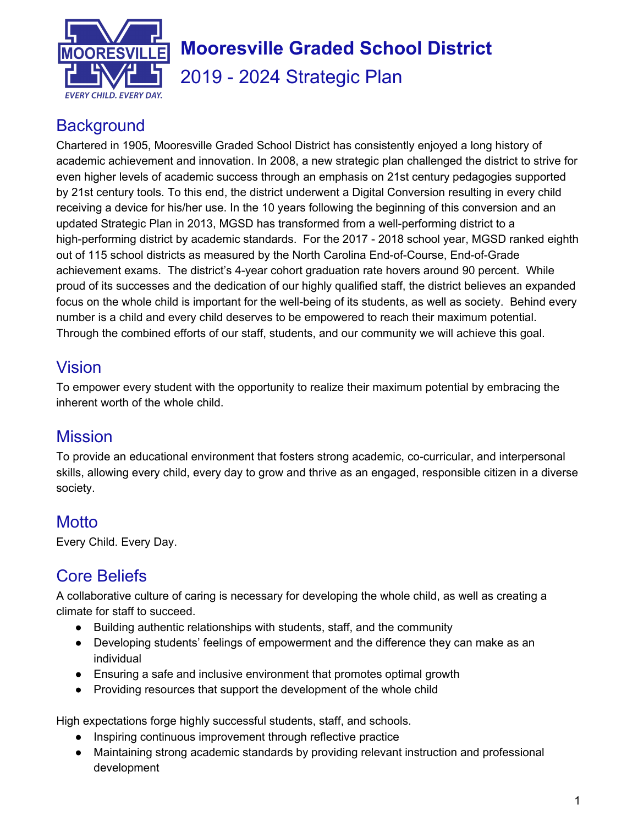

# **Mooresville Graded School District**

2019 - 2024 Strategic Plan

## **Background**

Chartered in 1905, Mooresville Graded School District has consistently enjoyed a long history of academic achievement and innovation. In 2008, a new strategic plan challenged the district to strive for even higher levels of academic success through an emphasis on 21st century pedagogies supported by 21st century tools. To this end, the district underwent a Digital Conversion resulting in every child receiving a device for his/her use. In the 10 years following the beginning of this conversion and an updated Strategic Plan in 2013, MGSD has transformed from a well-performing district to a high-performing district by academic standards. For the 2017 - 2018 school year, MGSD ranked eighth out of 115 school districts as measured by the North Carolina End-of-Course, End-of-Grade achievement exams. The district's 4-year cohort graduation rate hovers around 90 percent. While proud of its successes and the dedication of our highly qualified staff, the district believes an expanded focus on the whole child is important for the well-being of its students, as well as society. Behind every number is a child and every child deserves to be empowered to reach their maximum potential. Through the combined efforts of our staff, students, and our community we will achieve this goal.

## Vision

To empower every student with the opportunity to realize their maximum potential by embracing the inherent worth of the whole child.

## **Mission**

To provide an educational environment that fosters strong academic, co-curricular, and interpersonal skills, allowing every child, every day to grow and thrive as an engaged, responsible citizen in a diverse society.

## **Motto**

Every Child. Every Day.

## Core Beliefs

A collaborative culture of caring is necessary for developing the whole child, as well as creating a climate for staff to succeed.

- Building authentic relationships with students, staff, and the community
- Developing students' feelings of empowerment and the difference they can make as an individual
- Ensuring a safe and inclusive environment that promotes optimal growth
- Providing resources that support the development of the whole child

High expectations forge highly successful students, staff, and schools.

- Inspiring continuous improvement through reflective practice
- Maintaining strong academic standards by providing relevant instruction and professional development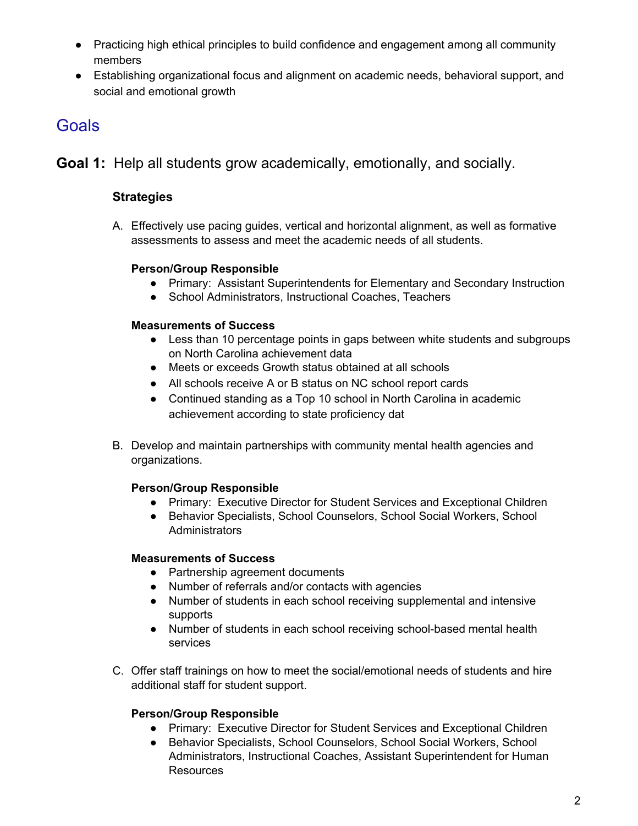- Practicing high ethical principles to build confidence and engagement among all community members
- Establishing organizational focus and alignment on academic needs, behavioral support, and social and emotional growth

## **Goals**

**Goal 1:** Help all students grow academically, emotionally, and socially.

## **Strategies**

A. Effectively use pacing guides, vertical and horizontal alignment, as well as formative assessments to assess and meet the academic needs of all students.

## **Person/Group Responsible**

- Primary: Assistant Superintendents for Elementary and Secondary Instruction
- School Administrators, Instructional Coaches, Teachers

## **Measurements of Success**

- Less than 10 percentage points in gaps between white students and subgroups on North Carolina achievement data
- Meets or exceeds Growth status obtained at all schools
- All schools receive A or B status on NC school report cards
- Continued standing as a Top 10 school in North Carolina in academic achievement according to state proficiency dat
- B. Develop and maintain partnerships with community mental health agencies and organizations.

## **Person/Group Responsible**

- Primary: Executive Director for Student Services and Exceptional Children
- Behavior Specialists, School Counselors, School Social Workers, School **Administrators**

## **Measurements of Success**

- Partnership agreement documents
- Number of referrals and/or contacts with agencies
- Number of students in each school receiving supplemental and intensive supports
- Number of students in each school receiving school-based mental health services
- C. Offer staff trainings on how to meet the social/emotional needs of students and hire additional staff for student support.

## **Person/Group Responsible**

- Primary: Executive Director for Student Services and Exceptional Children
- Behavior Specialists, School Counselors, School Social Workers, School Administrators, Instructional Coaches, Assistant Superintendent for Human **Resources**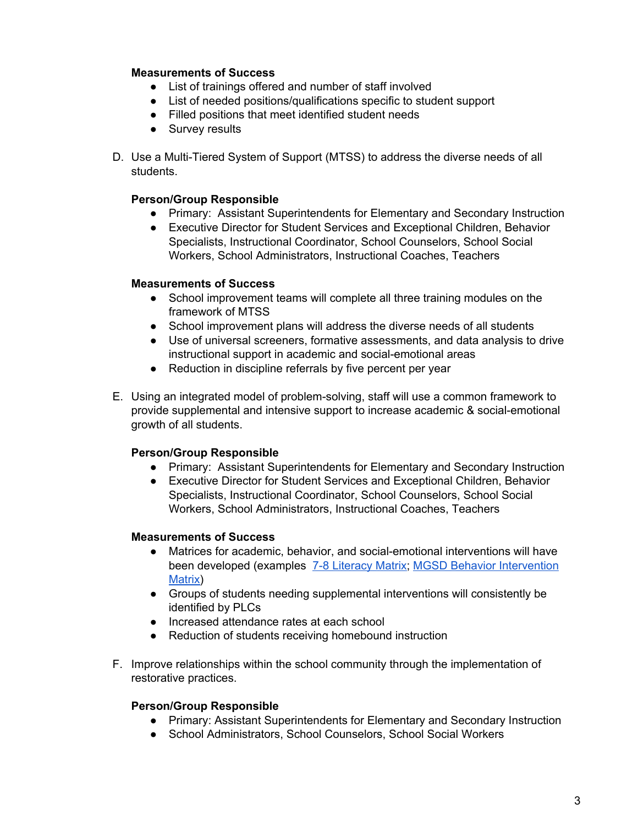#### **Measurements of Success**

- List of trainings offered and number of staff involved
- List of needed positions/qualifications specific to student support
- Filled positions that meet identified student needs
- Survey results
- D. Use a Multi-Tiered System of Support (MTSS) to address the diverse needs of all students.

#### **Person/Group Responsible**

- Primary: Assistant Superintendents for Elementary and Secondary Instruction
- Executive Director for Student Services and Exceptional Children, Behavior Specialists, Instructional Coordinator, School Counselors, School Social Workers, School Administrators, Instructional Coaches, Teachers

#### **Measurements of Success**

- School improvement teams will complete all three training modules on the framework of MTSS
- School improvement plans will address the diverse needs of all students
- Use of universal screeners, formative assessments, and data analysis to drive instructional support in academic and social-emotional areas
- Reduction in discipline referrals by five percent per year
- E. Using an integrated model of problem-solving, staff will use a common framework to provide supplemental and intensive support to increase academic & social-emotional growth of all students.

#### **Person/Group Responsible**

- Primary: Assistant Superintendents for Elementary and Secondary Instruction
- Executive Director for Student Services and Exceptional Children, Behavior Specialists, Instructional Coordinator, School Counselors, School Social Workers, School Administrators, Instructional Coaches, Teachers

#### **Measurements of Success**

- Matrices for academic, behavior, and social-emotional interventions will have been developed (examples 7-8 [Literacy](https://docs.google.com/document/d/1vHYS68uzFzvdaTjApPajtWX-8cusk9cqWK08Gc6WpoI/edit?usp=sharing) Matrix; MGSD Behavior [Intervention](https://docs.google.com/spreadsheets/d/1DssBxxuYCOntTcC3Ikr0TPDrXPcie39D0PBT5bjXCqA/edit#gid=1243832029) [Matrix\)](https://docs.google.com/spreadsheets/d/1DssBxxuYCOntTcC3Ikr0TPDrXPcie39D0PBT5bjXCqA/edit#gid=1243832029)
- Groups of students needing supplemental interventions will consistently be identified by PLCs
- Increased attendance rates at each school
- Reduction of students receiving homebound instruction
- F. Improve relationships within the school community through the implementation of restorative practices.

#### **Person/Group Responsible**

- Primary: Assistant Superintendents for Elementary and Secondary Instruction
- School Administrators, School Counselors, School Social Workers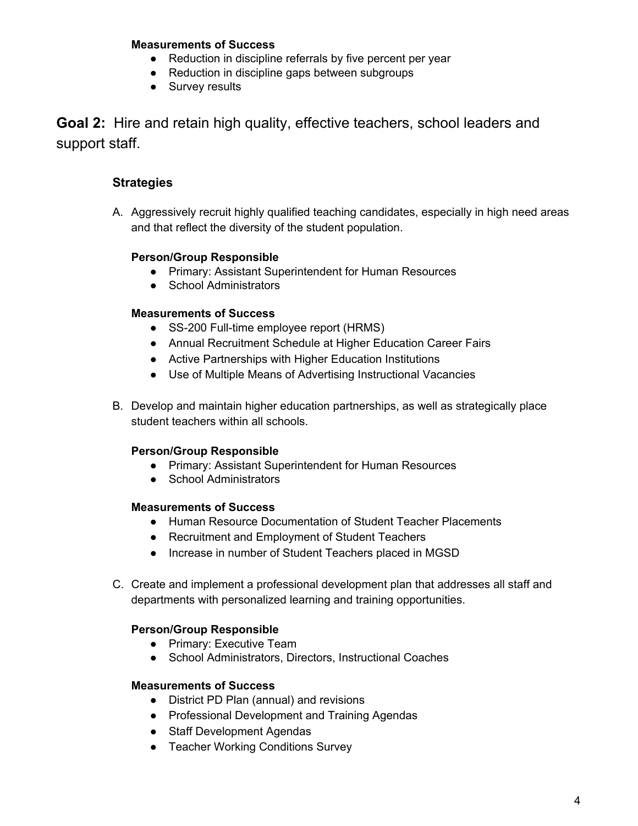#### **Measurements of Success**

- Reduction in discipline referrals by five percent per year
- Reduction in discipline gaps between subgroups
- Survey results

**Goal 2:** Hire and retain high quality, effective teachers, school leaders and support staff.

## **Strategies**

A. Aggressively recruit highly qualified teaching candidates, especially in high need areas and that reflect the diversity of the student population.

#### **Person/Group Responsible**

- Primary: Assistant Superintendent for Human Resources
- School Administrators

#### **Measurements of Success**

- SS-200 Full-time employee report (HRMS)
- Annual Recruitment Schedule at Higher Education Career Fairs
- Active Partnerships with Higher Education Institutions
- Use of Multiple Means of Advertising Instructional Vacancies
- B. Develop and maintain higher education partnerships, as well as strategically place student teachers within all schools.

#### **Person/Group Responsible**

- Primary: Assistant Superintendent for Human Resources
- School Administrators

#### **Measurements of Success**

- Human Resource Documentation of Student Teacher Placements
- Recruitment and Employment of Student Teachers
- Increase in number of Student Teachers placed in MGSD
- C. Create and implement a professional development plan that addresses all staff and departments with personalized learning and training opportunities.

#### **Person/Group Responsible**

- Primary: Executive Team
- School Administrators, Directors, Instructional Coaches

- District PD Plan (annual) and revisions
- Professional Development and Training Agendas
- Staff Development Agendas
- Teacher Working Conditions Survey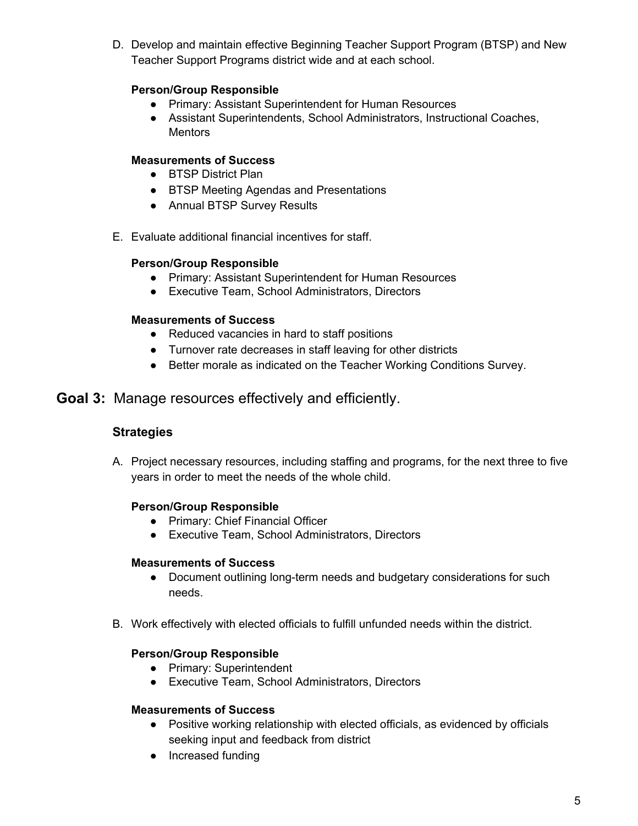D. Develop and maintain effective Beginning Teacher Support Program (BTSP) and New Teacher Support Programs district wide and at each school.

## **Person/Group Responsible**

- Primary: Assistant Superintendent for Human Resources
- Assistant Superintendents, School Administrators, Instructional Coaches, **Mentors**

#### **Measurements of Success**

- BTSP District Plan
- BTSP Meeting Agendas and Presentations
- Annual BTSP Survey Results
- E. Evaluate additional financial incentives for staff.

#### **Person/Group Responsible**

- Primary: Assistant Superintendent for Human Resources
- Executive Team, School Administrators, Directors

#### **Measurements of Success**

- Reduced vacancies in hard to staff positions
- Turnover rate decreases in staff leaving for other districts
- Better morale as indicated on the Teacher Working Conditions Survey.

## **Goal 3:** Manage resources effectively and efficiently.

## **Strategies**

A. Project necessary resources, including staffing and programs, for the next three to five years in order to meet the needs of the whole child.

#### **Person/Group Responsible**

- Primary: Chief Financial Officer
- Executive Team, School Administrators, Directors

#### **Measurements of Success**

- Document outlining long-term needs and budgetary considerations for such needs.
- B. Work effectively with elected officials to fulfill unfunded needs within the district.

#### **Person/Group Responsible**

- Primary: Superintendent
- Executive Team, School Administrators, Directors

- Positive working relationship with elected officials, as evidenced by officials seeking input and feedback from district
- Increased funding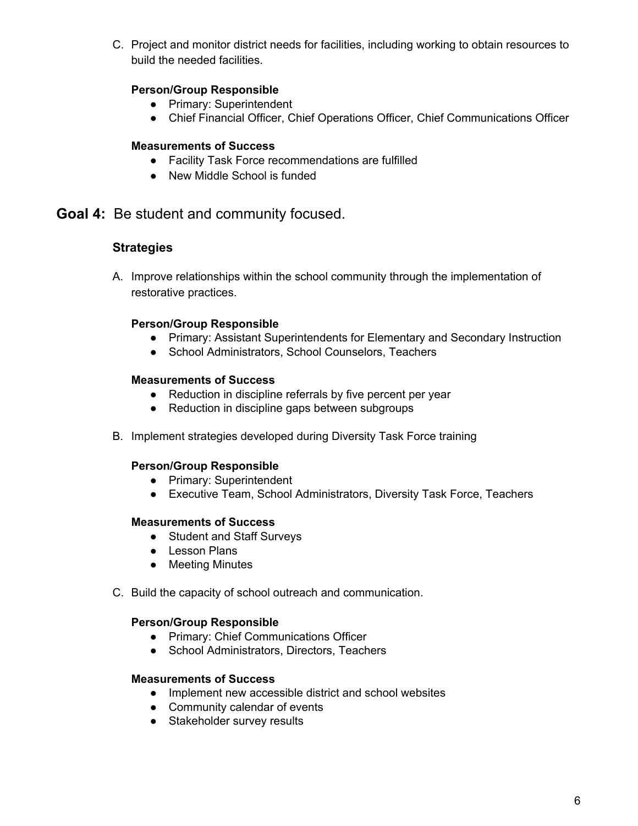C. Project and monitor district needs for facilities, including working to obtain resources to build the needed facilities.

## **Person/Group Responsible**

- Primary: Superintendent
- Chief Financial Officer, Chief Operations Officer, Chief Communications Officer

## **Measurements of Success**

- Facility Task Force recommendations are fulfilled
- New Middle School is funded

## **Goal 4:** Be student and community focused.

## **Strategies**

A. Improve relationships within the school community through the implementation of restorative practices.

## **Person/Group Responsible**

- Primary: Assistant Superintendents for Elementary and Secondary Instruction
- School Administrators, School Counselors, Teachers

#### **Measurements of Success**

- Reduction in discipline referrals by five percent per year
- Reduction in discipline gaps between subgroups
- B. Implement strategies developed during Diversity Task Force training

#### **Person/Group Responsible**

- Primary: Superintendent
- Executive Team, School Administrators, Diversity Task Force, Teachers

## **Measurements of Success**

- Student and Staff Surveys
- Lesson Plans
- Meeting Minutes
- C. Build the capacity of school outreach and communication.

#### **Person/Group Responsible**

- Primary: Chief Communications Officer
- School Administrators, Directors, Teachers

- Implement new accessible district and school websites
- Community calendar of events
- Stakeholder survey results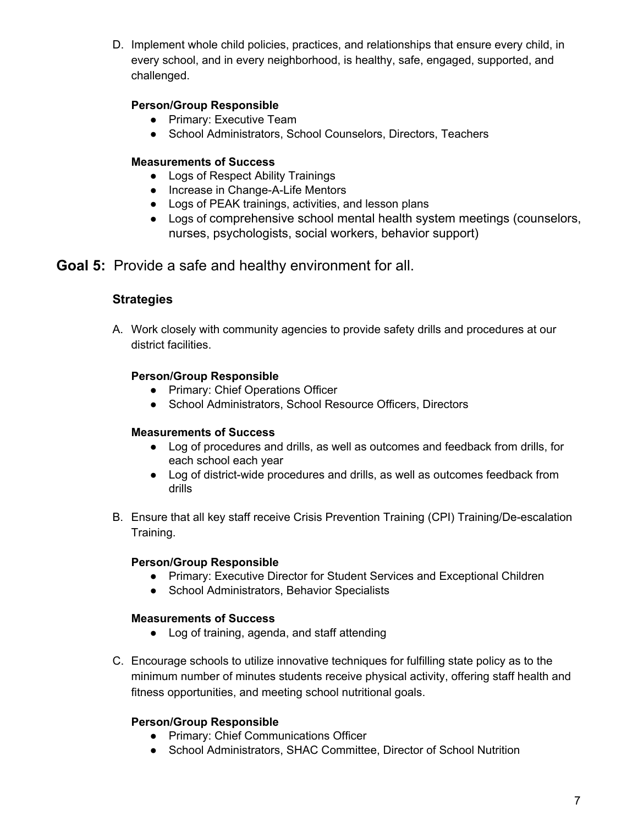D. Implement whole child policies, practices, and relationships that ensure every child, in every school, and in every neighborhood, is healthy, safe, engaged, supported, and challenged.

## **Person/Group Responsible**

- Primary: Executive Team
- School Administrators, School Counselors, Directors, Teachers

## **Measurements of Success**

- Logs of Respect Ability Trainings
- Increase in Change-A-Life Mentors
- Logs of PEAK trainings, activities, and lesson plans
- Logs of comprehensive school mental health system meetings (counselors, nurses, psychologists, social workers, behavior support)

## **Goal 5:** Provide a safe and healthy environment for all.

## **Strategies**

A. Work closely with community agencies to provide safety drills and procedures at our district facilities.

## **Person/Group Responsible**

- Primary: Chief Operations Officer
- School Administrators, School Resource Officers, Directors

## **Measurements of Success**

- Log of procedures and drills, as well as outcomes and feedback from drills, for each school each year
- Log of district-wide procedures and drills, as well as outcomes feedback from drills
- B. Ensure that all key staff receive Crisis Prevention Training (CPI) Training/De-escalation Training.

## **Person/Group Responsible**

- Primary: Executive Director for Student Services and Exceptional Children
- School Administrators, Behavior Specialists

## **Measurements of Success**

- Log of training, agenda, and staff attending
- C. Encourage schools to utilize innovative techniques for fulfilling state policy as to the minimum number of minutes students receive physical activity, offering staff health and fitness opportunities, and meeting school nutritional goals.

## **Person/Group Responsible**

- Primary: Chief Communications Officer
- School Administrators, SHAC Committee, Director of School Nutrition